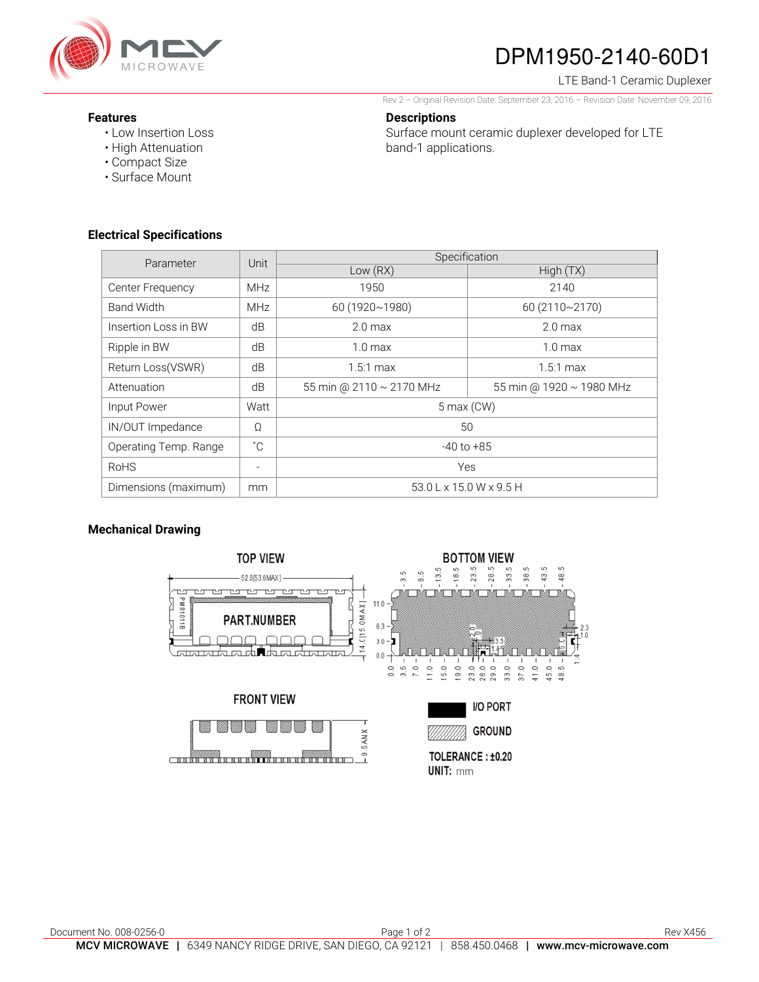

# DPM1950-2140-60D1

#### LTE Band-1 Ceramic Duplexer

Rev 2 – Original Revision Date: September 23, 2016 – Revision Date: November 09, 2016

#### **Features**

• Low Insertion Loss

**Descriptions** 

Surface mount ceramic duplexer developed for LTE band-1 applications.

- High Attenuation
- Compact Size
- Surface Mount

### **Electrical Specifications**

| Parameter             | Unit         | Specification                       |                          |
|-----------------------|--------------|-------------------------------------|--------------------------|
|                       |              | Low (RX)                            | High(TX)                 |
| Center Frequency      | <b>MHz</b>   | 1950                                | 2140                     |
| <b>Band Width</b>     | MHz          | 60 (1920~1980)                      | 60 (2110~2170)           |
| Insertion Loss in BW  | dB           | $2.0 \text{ max}$                   | 2.0 <sub>max</sub>       |
| Ripple in BW          | dB           | 1.0 <sub>max</sub>                  | 1.0 <sub>max</sub>       |
| Return Loss(VSWR)     | dB           | $1.5:1$ max                         | $1.5:1 \text{ max}$      |
| Attenuation           | dB           | 55 min @ 2110 ~ 2170 MHz            | 55 min @ 1920 ~ 1980 MHz |
| Input Power           | Watt         | $5$ max $(CW)$                      |                          |
| IN/OUT Impedance      | $\Omega$     | 50                                  |                          |
| Operating Temp. Range | $^{\circ}$ C | $-40$ to $+85$                      |                          |
| <b>RoHS</b>           |              | Yes                                 |                          |
| Dimensions (maximum)  | mm           | $53.0 L \times 15.0 W \times 9.5 H$ |                          |

## **Mechanical Drawing**